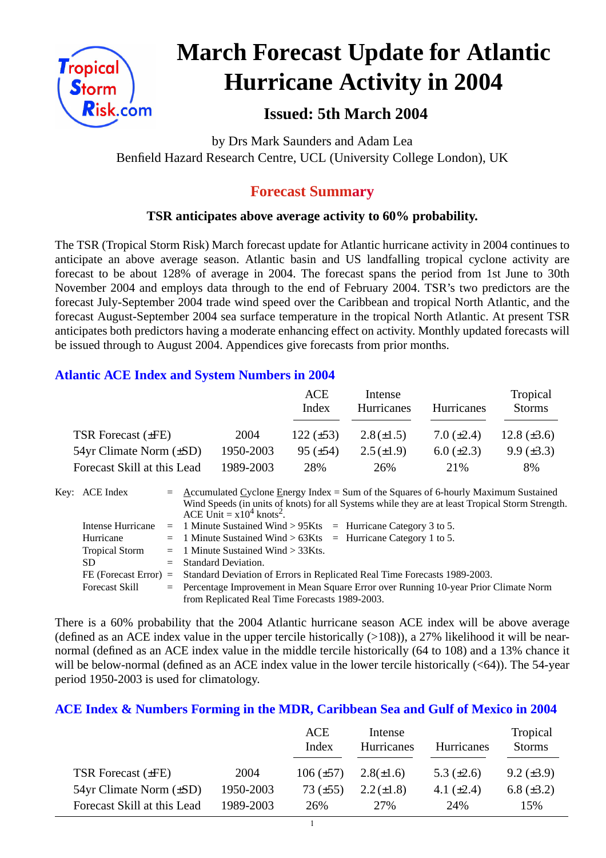

# **March Forecast Update for Atlantic Hurricane Activity in 2004**

# **Issued: 5th March 2004**

by Drs Mark Saunders and Adam Lea Benfield Hazard Research Centre, UCL (University College London), UK

# **Forecast Summary**

## **TSR anticipates above average activity to 60% probability.**

The TSR (Tropical Storm Risk) March forecast update for Atlantic hurricane activity in 2004 continues to anticipate an above average season. Atlantic basin and US landfalling tropical cyclone activity are forecast to be about 128% of average in 2004. The forecast spans the period from 1st June to 30th November 2004 and employs data through to the end of February 2004. TSR's two predictors are the forecast July-September 2004 trade wind speed over the Caribbean and tropical North Atlantic, and the forecast August-September 2004 sea surface temperature in the tropical North Atlantic. At present TSR anticipates both predictors having a moderate enhancing effect on activity. Monthly updated forecasts will be issued through to August 2004. Appendices give forecasts from prior months.

## **Atlantic ACE Index and System Numbers in 2004**

|                                |           | ACE<br>Index    | Intense<br><b>Hurricanes</b> | <b>Hurricanes</b> | Tropical<br><b>Storms</b> |
|--------------------------------|-----------|-----------------|------------------------------|-------------------|---------------------------|
| <b>TSR Forecast (±FE)</b>      | 2004      | $122 (\pm 53)$  | $2.8(\pm 1.5)$               | 7.0 $(\pm 2.4)$   | 12.8 $(\pm 3.6)$          |
| $54yr$ Climate Norm $(\pm SD)$ | 1950-2003 | $95 \ (\pm 54)$ | $2.5(\pm 1.9)$               | $6.0 (\pm 2.3)$   | $9.9 \ (\pm 3.3)$         |
| Forecast Skill at this Lead    | 1989-2003 | 28%             | 26%                          | 21\%              | 8%                        |

| Key: ACE Index        | $=$ Accumulated Cyclone Energy Index = Sum of the Squares of 6-hourly Maximum Sustained          |
|-----------------------|--------------------------------------------------------------------------------------------------|
|                       | Wind Speeds (in units of knots) for all Systems while they are at least Tropical Storm Strength. |
|                       | ACE Unit = $x10^4$ knots <sup>2</sup> .                                                          |
| Intense Hurricane     | $=$ 1 Minute Sustained Wind > 95Kts $=$ Hurricane Category 3 to 5.                               |
| Hurricane             | $=$ 1 Minute Sustained Wind > 63Kts $=$ Hurricane Category 1 to 5.                               |
| <b>Tropical Storm</b> | $=$ 1 Minute Sustained Wind $>$ 33Kts.                                                           |
| <b>SD</b>             | $=$ Standard Deviation.                                                                          |
|                       | FE (Forecast Error) = Standard Deviation of Errors in Replicated Real Time Forecasts 1989-2003.  |
| <b>Forecast Skill</b> | = Percentage Improvement in Mean Square Error over Running 10-year Prior Climate Norm            |
|                       | from Replicated Real Time Forecasts 1989-2003.                                                   |

There is a 60% probability that the 2004 Atlantic hurricane season ACE index will be above average (defined as an ACE index value in the upper tercile historically  $(>108)$ ), a 27% likelihood it will be nearnormal (defined as an ACE index value in the middle tercile historically (64 to 108) and a 13% chance it will be below-normal (defined as an ACE index value in the lower tercile historically  $( $64$ )$ ). The 54-year period 1950-2003 is used for climatology.

## **ACE Index & Numbers Forming in the MDR, Caribbean Sea and Gulf of Mexico in 2004**

|                                |           | ACE<br>Index   | Intense<br>Hurricanes | <b>Hurricanes</b> | Tropical<br><b>Storms</b> |
|--------------------------------|-----------|----------------|-----------------------|-------------------|---------------------------|
| TSR Forecast $(\pm FE)$        | 2004      | $106 (\pm 57)$ | $2.8(\pm 1.6)$        | 5.3 $(\pm 2.6)$   | $9.2 \ (\pm 3.9)$         |
| $54yr$ Climate Norm $(\pm SD)$ | 1950-2003 | 73 $(\pm 55)$  | $2.2 (\pm 1.8)$       | 4.1 $(\pm 2.4)$   | 6.8 $(\pm 3.2)$           |
| Forecast Skill at this Lead    | 1989-2003 | 26%            | 27%                   | 24%               | 15%                       |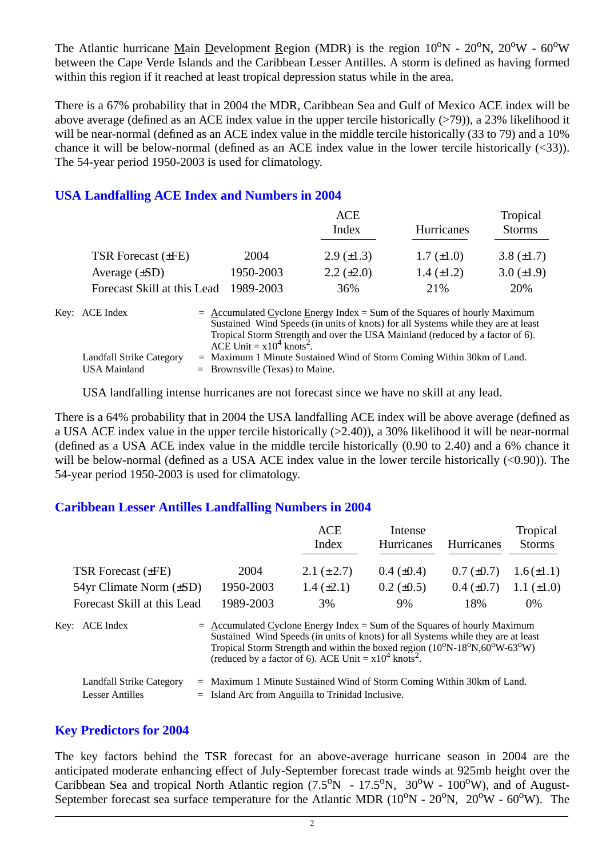The Atlantic hurricane Main Development Region (MDR) is the region  $10^{\circ}N - 20^{\circ}N$ ,  $20^{\circ}W - 60^{\circ}W$ between the Cape Verde Islands and the Caribbean Lesser Antilles. A storm is defined as having formed within this region if it reached at least tropical depression status while in the area.

There is a 67% probability that in 2004 the MDR, Caribbean Sea and Gulf of Mexico ACE index will be above average (defined as an ACE index value in the upper tercile historically (>79)), a 23% likelihood it will be near-normal (defined as an ACE index value in the middle tercile historically (33 to 79) and a 10% chance it will be below-normal (defined as an ACE index value in the lower tercile historically (<33)). The 54-year period 1950-2003 is used for climatology.

## **USA Landfalling ACE Index and Numbers in 2004**

|                             |           | ACE                                                                                                                                                                                                                                               |                   | Tropical        |
|-----------------------------|-----------|---------------------------------------------------------------------------------------------------------------------------------------------------------------------------------------------------------------------------------------------------|-------------------|-----------------|
|                             |           | Index                                                                                                                                                                                                                                             | Hurricanes        | <b>Storms</b>   |
| TSR Forecast $(\pm FE)$     | 2004      | $2.9 \ (\pm 1.3)$                                                                                                                                                                                                                                 | $1.7 (\pm 1.0)$   | 3.8 $(\pm 1.7)$ |
| Average $(\pm SD)$          | 1950-2003 | $2.2 \ (\pm 2.0)$                                                                                                                                                                                                                                 | $1.4 \ (\pm 1.2)$ | $3.0 (\pm 1.9)$ |
| Forecast Skill at this Lead | 1989-2003 | 36%                                                                                                                                                                                                                                               | 21\%              | 20%             |
| Key: ACE Index              |           | $=$ Accumulated Cyclone Energy Index = Sum of the Squares of hourly Maximum<br>Sustained Wind Speeds (in units of knots) for all Systems while they are at least<br>Tropical Storm Strength and over the USA Mainland (reduced by a factor of 6). |                   |                 |

ACE Unit =  $x10^4$  knots<sup>2</sup>. Landfall Strike Category = Maximum 1 Minute Sustained Wind of Storm Coming Within 30km of Land. USA Mainland  $=$  Brownsville (Texas) to Maine.

USA landfalling intense hurricanes are not forecast since we have no skill at any lead.

There is a 64% probability that in 2004 the USA landfalling ACE index will be above average (defined as a USA ACE index value in the upper tercile historically (>2.40)), a 30% likelihood it will be near-normal (defined as a USA ACE index value in the middle tercile historically (0.90 to 2.40) and a 6% chance it will be below-normal (defined as a USA ACE index value in the lower tercile historically  $(<0.90$ )). The 54-year period 1950-2003 is used for climatology.

#### **Caribbean Lesser Antilles Landfalling Numbers in 2004**

|                                                           |                                                                                                                                                                                                                                                                                                                                                                          | <b>ACE</b>      | Intense           |                   | Tropical        |
|-----------------------------------------------------------|--------------------------------------------------------------------------------------------------------------------------------------------------------------------------------------------------------------------------------------------------------------------------------------------------------------------------------------------------------------------------|-----------------|-------------------|-------------------|-----------------|
|                                                           |                                                                                                                                                                                                                                                                                                                                                                          | Index           | <b>Hurricanes</b> | <b>Hurricanes</b> | <b>Storms</b>   |
| <b>TSR Forecast (±FE)</b>                                 | 2004                                                                                                                                                                                                                                                                                                                                                                     | 2.1 $(\pm 2.7)$ | $0.4~(\pm 0.4)$   | $0.7 (\pm 0.7)$   | $1.6(\pm 1.1)$  |
| $54yr$ Climate Norm $(\pm SD)$                            | 1950-2003                                                                                                                                                                                                                                                                                                                                                                | $1.4 (\pm 2.1)$ | $0.2 \ (\pm 0.5)$ | $0.4~(\pm 0.7)$   | $1.1 (\pm 1.0)$ |
| Forecast Skill at this Lead                               | 1989-2003                                                                                                                                                                                                                                                                                                                                                                | 3%              | 9%                | 18%               | 0%              |
| Key: ACE Index                                            | $=$ Accumulated Cyclone Energy Index = Sum of the Squares of hourly Maximum<br>Sustained Wind Speeds (in units of knots) for all Systems while they are at least<br>Tropical Storm Strength and within the boxed region (10 <sup>o</sup> N-18 <sup>o</sup> N,60 <sup>o</sup> W-63 <sup>o</sup> W)<br>(reduced by a factor of 6). ACE Unit = $x10^4$ knots <sup>2</sup> . |                 |                   |                   |                 |
| <b>Landfall Strike Category</b><br><b>Lesser Antilles</b> | $=$ Maximum 1 Minute Sustained Wind of Storm Coming Within 30km of Land.<br>$=$ Island Arc from Anguilla to Trinidad Inclusive.                                                                                                                                                                                                                                          |                 |                   |                   |                 |

#### **Key Predictors for 2004**

The key factors behind the TSR forecast for an above-average hurricane season in 2004 are the anticipated moderate enhancing effect of July-September forecast trade winds at 925mb height over the Caribbean Sea and tropical North Atlantic region  $(7.5^{\circ}N - 17.5^{\circ}N, 30^{\circ}W - 100^{\circ}W)$ , and of August-September forecast sea surface temperature for the Atlantic MDR  $(10^{\circ}N - 20^{\circ}N, 20^{\circ}W - 60^{\circ}W)$ . The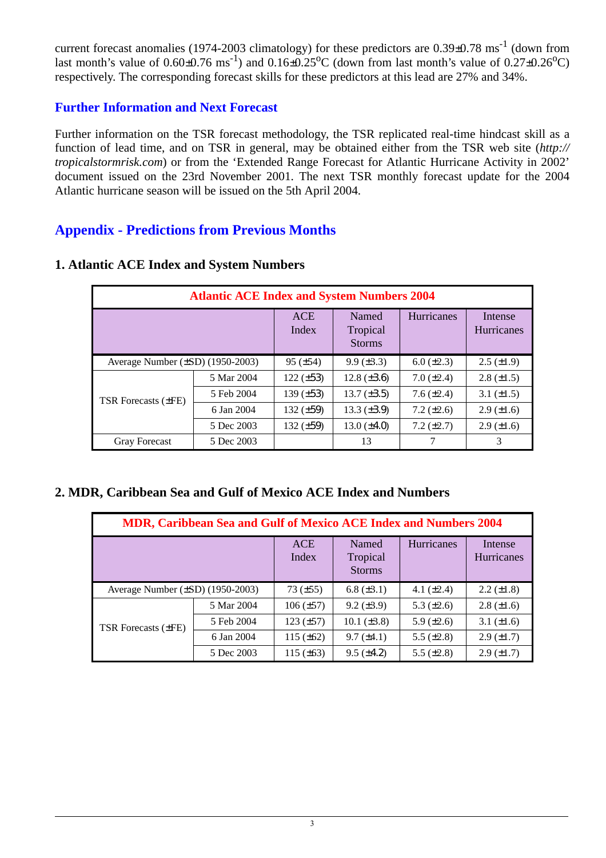current forecast anomalies (1974-2003 climatology) for these predictors are 0.39±0.78 ms<sup>-1</sup> (down from last month's value of  $0.60\pm0.76$  ms<sup>-1</sup>) and  $0.16\pm0.25$ °C (down from last month's value of  $0.27\pm0.26$ °C) respectively. The corresponding forecast skills for these predictors at this lead are 27% and 34%.

## **Further Information and Next Forecast**

Further information on the TSR forecast methodology, the TSR replicated real-time hindcast skill as a function of lead time, and on TSR in general, may be obtained either from the TSR web site (*http:// tropicalstormrisk.com*) or from the 'Extended Range Forecast for Atlantic Hurricane Activity in 2002' document issued on the 23rd November 2001. The next TSR monthly forecast update for the 2004 Atlantic hurricane season will be issued on the 5th April 2004.

# **Appendix - Predictions from Previous Months**

| <b>Atlantic ACE Index and System Numbers 2004</b> |            |                     |                                    |                   |                       |  |  |
|---------------------------------------------------|------------|---------------------|------------------------------------|-------------------|-----------------------|--|--|
|                                                   |            | <b>ACE</b><br>Index | Named<br>Tropical<br><b>Storms</b> | <b>Hurricanes</b> | Intense<br>Hurricanes |  |  |
| Average Number $(\pm SD)$ (1950-2003)             |            | $95 (\pm 54)$       | $9.9 \ (\pm 3.3)$                  | $6.0 (\pm 2.3)$   | $2.5 \ (\pm 1.9)$     |  |  |
| <b>TSR Forecasts (±FE)</b>                        | 5 Mar 2004 | $122 (\pm 53)$      | 12.8 $(\pm 3.6)$                   | $7.0 (\pm 2.4)$   | $2.8 (\pm 1.5)$       |  |  |
|                                                   | 5 Feb 2004 | 139 $(\pm 53)$      | $13.7 (\pm 3.5)$                   | 7.6 $(\pm 2.4)$   | 3.1 $(\pm 1.5)$       |  |  |
|                                                   | 6 Jan 2004 | 132 $(\pm 59)$      | 13.3 $(\pm 3.9)$                   | $7.2 (\pm 2.6)$   | $2.9 \ (\pm 1.6)$     |  |  |
|                                                   | 5 Dec 2003 | 132 $(\pm 59)$      | $13.0 (\pm 4.0)$                   | $7.2 (\pm 2.7)$   | $2.9 \ (\pm 1.6)$     |  |  |
| <b>Gray Forecast</b>                              | 5 Dec 2003 |                     | 13                                 |                   | 3                     |  |  |

#### **1. Atlantic ACE Index and System Numbers**

## **2. MDR, Caribbean Sea and Gulf of Mexico ACE Index and Numbers**

| MDR, Caribbean Sea and Gulf of Mexico ACE Index and Numbers 2004 |            |                     |                                    |                   |                              |  |  |
|------------------------------------------------------------------|------------|---------------------|------------------------------------|-------------------|------------------------------|--|--|
|                                                                  |            | <b>ACE</b><br>Index | Named<br>Tropical<br><b>Storms</b> | Hurricanes        | Intense<br><b>Hurricanes</b> |  |  |
| Average Number $(\pm SD)$ (1950-2003)                            |            | 73 $(\pm 55)$       | 6.8 $(\pm 3.1)$                    | 4.1 $(\pm 2.4)$   | $2.2 \ (\pm 1.8)$            |  |  |
|                                                                  | 5 Mar 2004 | $106 (\pm 57)$      | $9.2 (\pm 3.9)$                    | 5.3 $(\pm 2.6)$   | $2.8 (\pm 1.6)$              |  |  |
| <b>TSR Forecasts (±FE)</b>                                       | 5 Feb 2004 | $123 (\pm 57)$      | $10.1 (\pm 3.8)$                   | $5.9 \ (\pm 2.6)$ | 3.1 $(\pm 1.6)$              |  |  |
|                                                                  | 6 Jan 2004 | 115 $(\pm 62)$      | $9.7 (\pm 4.1)$                    | 5.5 $(\pm 2.8)$   | $2.9 \ (\pm 1.7)$            |  |  |
|                                                                  | 5 Dec 2003 | 115 $(\pm 63)$      | $9.5 (\pm 4.2)$                    | 5.5 $(\pm 2.8)$   | $2.9 \ (\pm 1.7)$            |  |  |